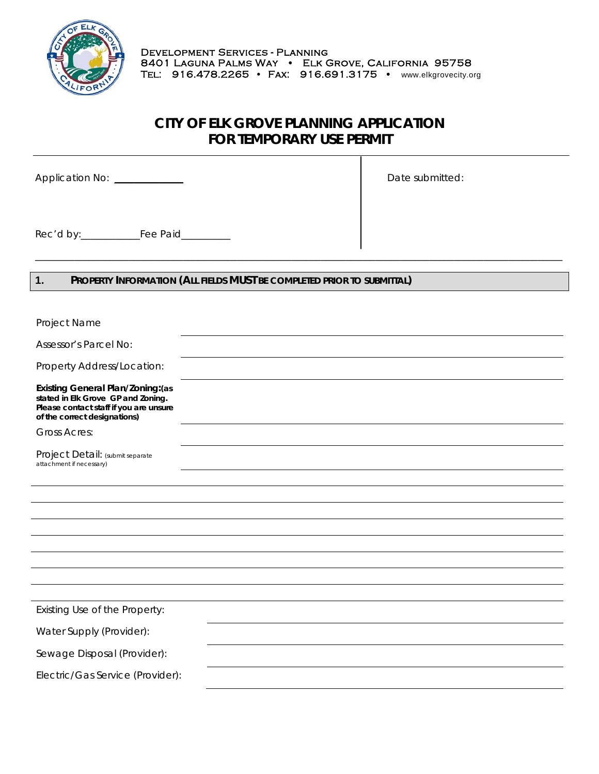

## **CITY OF ELK GROVE PLANNING APPLICATION FOR TEMPORARY USE PERMIT**

\_\_\_\_\_\_\_\_\_\_\_\_\_\_\_\_\_\_\_\_\_\_\_\_\_\_\_\_\_\_\_\_\_\_\_\_\_\_\_\_\_\_\_\_\_\_\_\_\_\_\_\_\_\_\_\_\_\_\_\_\_\_\_\_\_\_\_\_\_\_\_\_\_\_\_\_\_\_\_\_\_\_\_\_\_\_\_\_\_\_\_\_\_\_\_\_\_\_\_\_\_\_\_\_\_\_\_

Application No: \_\_\_\_\_\_\_\_\_\_\_\_\_\_ Date submitted:

Rec'd by:\_\_\_\_\_\_\_\_\_\_\_\_Fee Paid\_\_\_\_\_\_\_\_\_\_

## **1. PROPERTY INFORMATION (ALL FIELDS MUST BE COMPLETED PRIOR TO SUBMITTAL)**

| Project Name                                                                                                                                             |  |
|----------------------------------------------------------------------------------------------------------------------------------------------------------|--|
| Assessor's Parcel No:                                                                                                                                    |  |
| Property Address/Location:                                                                                                                               |  |
| <b>Existing General Plan/Zoning: (as</b><br>stated in Elk Grove GP and Zoning.<br>Please contact staff if you are unsure<br>of the correct designations) |  |
| <b>Gross Acres:</b>                                                                                                                                      |  |
| Project Detail: (submit separate<br>attachment if necessary)                                                                                             |  |
|                                                                                                                                                          |  |
|                                                                                                                                                          |  |
|                                                                                                                                                          |  |
|                                                                                                                                                          |  |
|                                                                                                                                                          |  |
|                                                                                                                                                          |  |
|                                                                                                                                                          |  |
|                                                                                                                                                          |  |
| Existing Use of the Property:                                                                                                                            |  |
| Water Supply (Provider):                                                                                                                                 |  |
| Sewage Disposal (Provider):                                                                                                                              |  |
| Electric/Gas Service (Provider):                                                                                                                         |  |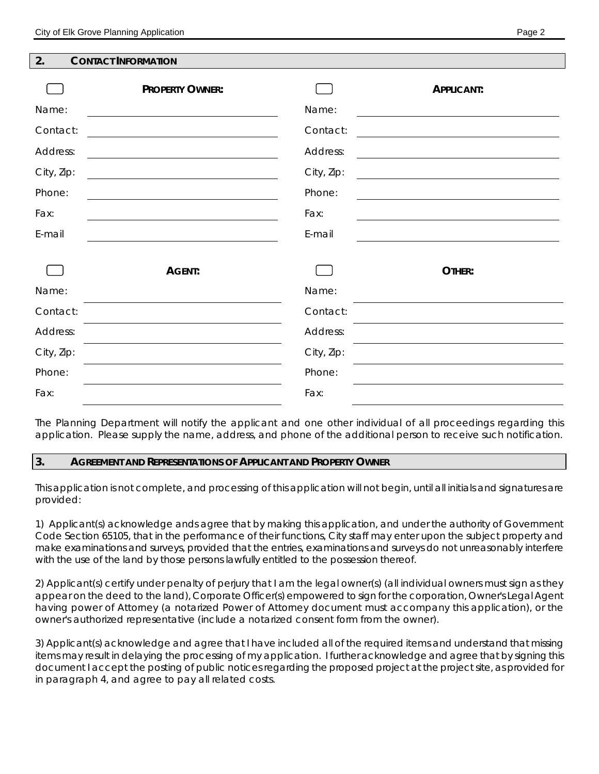| ◠<br>Ζ. | <b>CONTACT INFORMATION</b> |
|---------|----------------------------|
|         |                            |

|            | <b>PROPERTY OWNER:</b> |            | <b>APPLICANT:</b> |
|------------|------------------------|------------|-------------------|
| Name:      |                        | Name:      |                   |
| Contact:   |                        | Contact:   |                   |
| Address:   |                        | Address:   |                   |
| City, Zip: |                        | City, Zip: |                   |
| Phone:     |                        | Phone:     |                   |
| Fax:       |                        | Fax:       |                   |
| E-mail     |                        | E-mail     |                   |
|            | AGENT:                 |            | OTHER:            |
| Name:      |                        | Name:      |                   |
| Contact:   |                        | Contact:   |                   |
| Address:   |                        | Address:   |                   |
| City, Zip: |                        | City, Zip: |                   |
| Phone:     |                        | Phone:     |                   |
| Fax:       |                        | Fax:       |                   |

The Planning Department will notify the applicant and one other individual of all proceedings regarding this application. Please supply the name, address, and phone of the additional person to receive such notification.

#### **3. AGREEMENT AND REPRESENTATIONS OF APPLICANT AND PROPERTY OWNER**

This application is not complete, and processing of this application will not begin, until all initials and signatures are provided:

1) Applicant(s) acknowledge ands agree that by making this application, and under the authority of Government Code Section 65105, that in the performance of their functions, City staff may enter upon the subject property and make examinations and surveys, provided that the entries, examinations and surveys do not unreasonably interfere with the use of the land by those persons lawfully entitled to the possession thereof.

2) Applicant(s) certify under penalty of perjury that I am the legal owner(s) (all individual owners must sign as they appear on the deed to the land), Corporate Officer(s) empowered to sign for the corporation, Owner's Legal Agent having power of Attorney (a notarized Power of Attorney document must accompany this application), or the owner's authorized representative (include a notarized consent form from the owner).

3) Applicant(s) acknowledge and agree that I have included all of the required items and understand that missing items may result in delaying the processing of my application. I further acknowledge and agree that by signing this document I accept the posting of public notices regarding the proposed project at the project site, as provided for in paragraph 4, and agree to pay all related costs.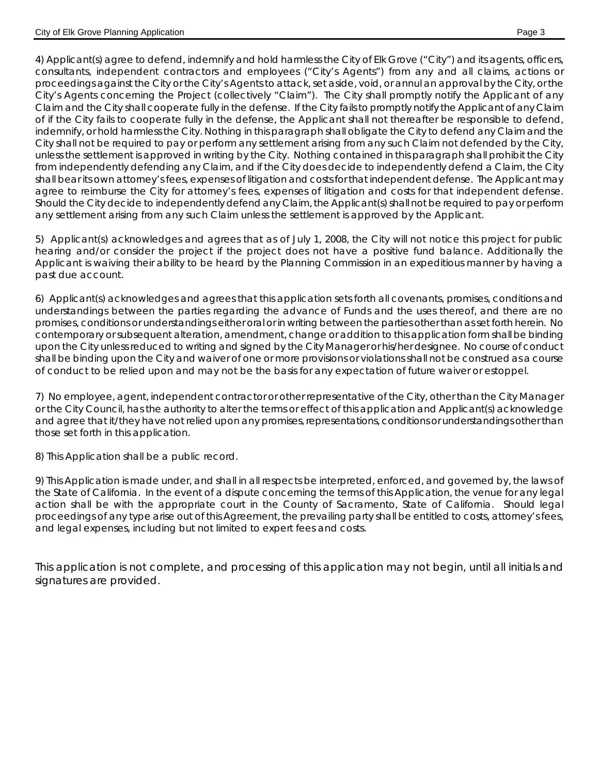4) Applicant(s) agree to defend, indemnify and hold harmless the City of Elk Grove ("City") and its agents, officers, consultants, independent contractors and employees ("City's Agents") from any and all claims, actions or proceedings against the City or the City's Agents to attack, set aside, void, or annul an approval by the City, or the City's Agents concerning the Project (collectively "Claim"). The City shall promptly notify the Applicant of any Claim and the City shall cooperate fully in the defense. If the City fails to promptly notify the Applicant of any Claim of if the City fails to cooperate fully in the defense, the Applicant shall not thereafter be responsible to defend, indemnify, or hold harmless the City. Nothing in this paragraph shall obligate the City to defend any Claim and the City shall not be required to pay or perform any settlement arising from any such Claim not defended by the City, unless the settlement is approved in writing by the City. Nothing contained in this paragraph shall prohibit the City from independently defending any Claim, and if the City does decide to independently defend a Claim, the City shall bear its own attorney's fees, expenses of litigation and costs for that independent defense. The Applicant may agree to reimburse the City for attorney's fees, expenses of litigation and costs for that independent defense. Should the City decide to independently defend any Claim, the Applicant(s) shall not be required to pay or perform any settlement arising from any such Claim unless the settlement is approved by the Applicant.

5) Applicant(s) acknowledges and agrees that as of July 1, 2008, the City will not notice this project for public hearing and/or consider the project if the project does not have a positive fund balance. Additionally the Applicant is waiving their ability to be heard by the Planning Commission in an expeditious manner by having a past due account.

6) Applicant(s) acknowledges and agrees that this application sets forth all covenants, promises, conditions and understandings between the parties regarding the advance of Funds and the uses thereof, and there are no promises, conditions or understandings either oral or in writing between the parties other than as set forth herein. No contemporary or subsequent alteration, amendment, change or addition to this application form shall be binding upon the City unless reduced to writing and signed by the City Manager or his/her designee. No course of conduct shall be binding upon the City and waiver of one or more provisions or violations shall not be construed as a course of conduct to be relied upon and may not be the basis for any expectation of future waiver or estoppel.

7) No employee, agent, independent contractor or other representative of the City, other than the City Manager or the City Council, has the authority to alter the terms or effect of this application and Applicant(s) acknowledge and agree that it/they have not relied upon any promises, representations, conditions or understandings other than those set forth in this application.

8) This Application shall be a public record.

9) This Application is made under, and shall in all respects be interpreted, enforced, and governed by, the laws of the State of California. In the event of a dispute concerning the terms of this Application, the venue for any legal action shall be with the appropriate court in the County of Sacramento, State of California. Should legal proceedings of any type arise out of this Agreement, the prevailing party shall be entitled to costs, attorney's fees, and legal expenses, including but not limited to expert fees and costs.

*This application is not complete, and processing of this application may not begin, until all initials and signatures are provided.*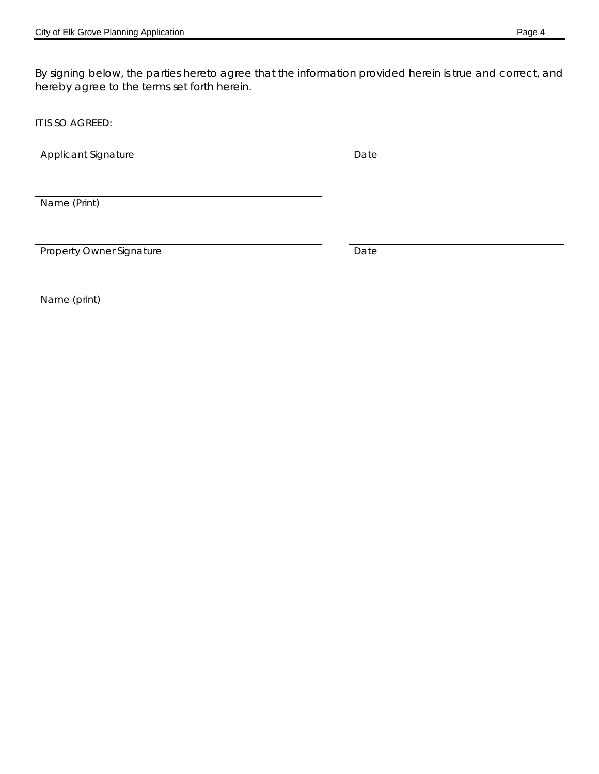By signing below, the parties hereto agree that the information provided herein is true and correct, and hereby agree to the terms set forth herein.

IT IS SO AGREED:

Applicant Signature Date

Name (Print)

Property Owner Signature Date

Name (print)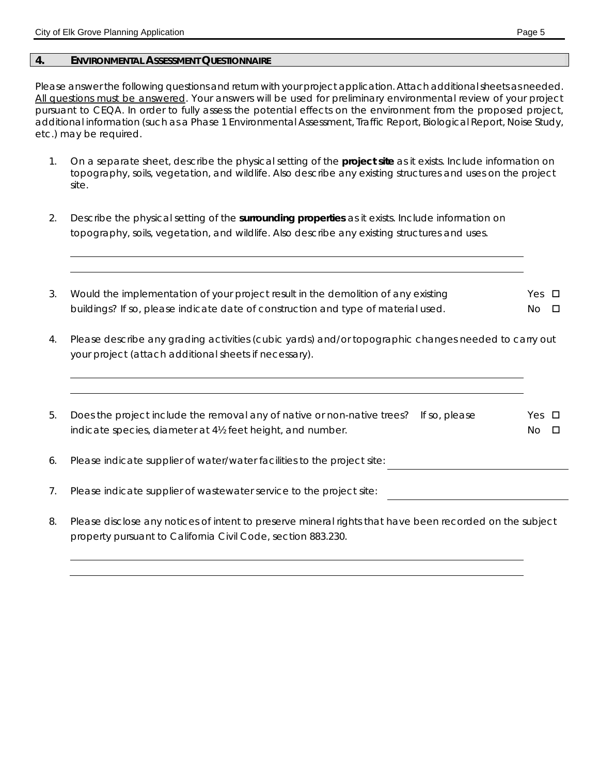#### **4. ENVIRONMENTAL ASSESSMENT QUESTIONNAIRE**

Please answer the following questions and return with your project application. Attach additional sheets as needed. All questions must be answered. Your answers will be used for preliminary environmental review of your project pursuant to CEQA. In order to fully assess the potential effects on the environment from the proposed project, additional information (such as a Phase 1 Environmental Assessment, Traffic Report, Biological Report, Noise Study, etc.) may be required.

- 1. On a separate sheet, describe the physical setting of the **project site** as it exists. Include information on topography, soils, vegetation, and wildlife. Also describe any existing structures and uses on the project site.
- 2. Describe the physical setting of the **surrounding properties** as it exists. Include information on topography, soils, vegetation, and wildlife. Also describe any existing structures and uses.
- 3. Would the implementation of your project result in the demolition of any existing buildings? If so, please indicate date of construction and type of material used. Yes  $\Box$ No **D**
- 4. Please describe any grading activities (cubic yards) and/or topographic changes needed to carry out your project (attach additional sheets if necessary).
- 5. Does the project include the removal any of native or non-native trees? If so, please indicate species, diameter at 4½ feet height, and number. Yes  $\Box$  $No$   $\Box$
- 6. Please indicate supplier of water/water facilities to the project site:
- 7. Please indicate supplier of wastewater service to the project site:
- 8. Please disclose any notices of intent to preserve mineral rights that have been recorded on the subject property pursuant to California Civil Code, section 883.230.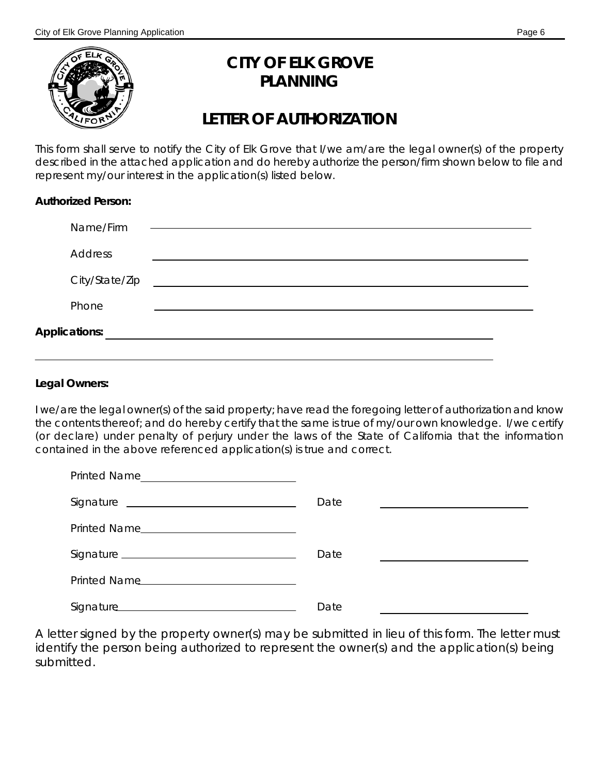

# **CITY OF ELK GROVE PLANNING**

## **LETTER OF AUTHORIZATION**

This form shall serve to notify the City of Elk Grove that I/we am/are the legal owner(s) of the property described in the attached application and do hereby authorize the person/firm shown below to file and represent my/our interest in the application(s) listed below.

## **Authorized Person:**

| Name/Firm      |  |
|----------------|--|
| <b>Address</b> |  |
| City/State/Zip |  |
| Phone          |  |
| Applications:  |  |
|                |  |

## **Legal Owners:**

I we/are the legal owner(s) of the said property; have read the foregoing letter of authorization and know the contents thereof; and do hereby certify that the same is true of my/our own knowledge. I/we certify (or declare) under penalty of perjury under the laws of the State of California that the information contained in the above referenced application(s) is true and correct.

| <b>Printed Name</b> |      |  |
|---------------------|------|--|
|                     | Date |  |
|                     |      |  |
|                     | Date |  |
| Printed Name        |      |  |
|                     | Date |  |

*A letter signed by the property owner(s) may be submitted in lieu of this form. The letter must identify the person being authorized to represent the owner(s) and the application(s) being submitted.*